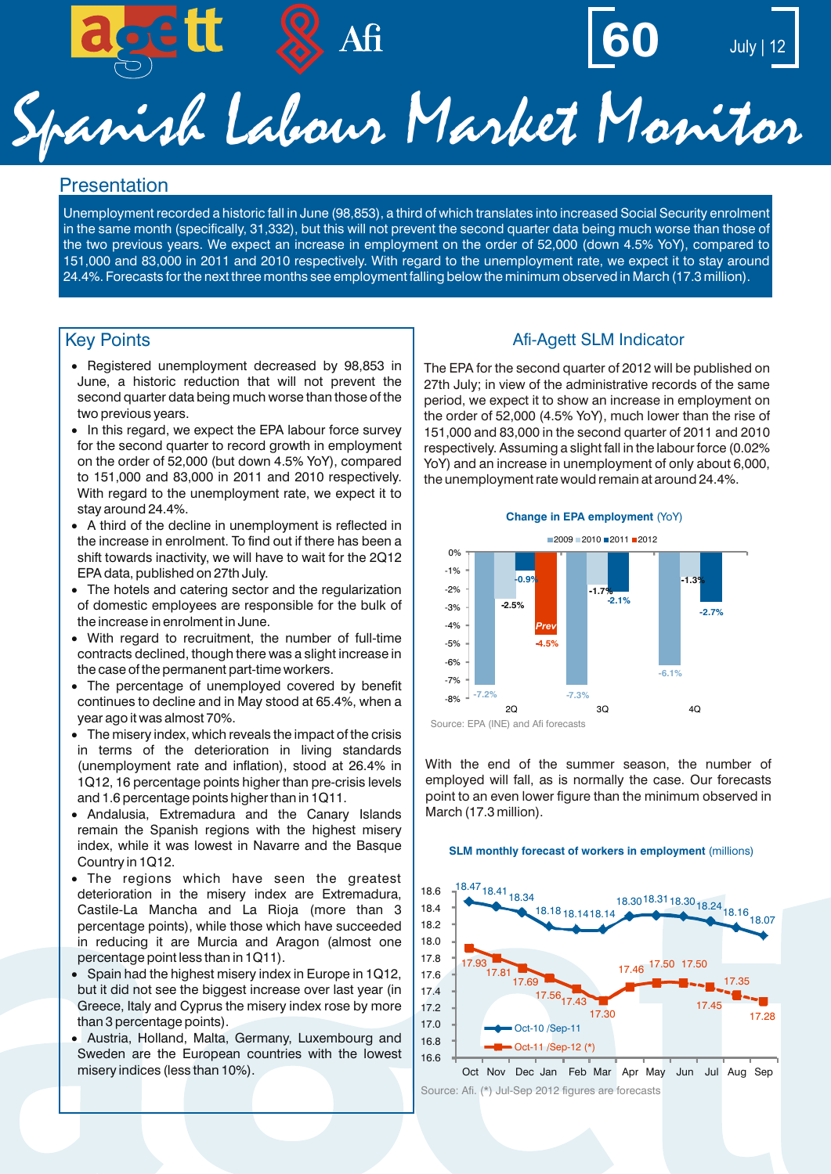



# Spanish Labour Market Monitor

#### **Presentation**

Unemployment recorded a historic fall in June (98,853), a third of which translates into increased Social Security enrolment in the same month (specifically, 31,332), but this will not prevent the second quarter data being much worse than those of the two previous years. We expect an increase in employment on the order of 52,000 (down 4.5% YoY), compared to 151,000 and 83,000 in 2011 and 2010 respectively. With regard to the unemployment rate, we expect it to stay around 24.4%. Forecasts for the next three months see employment falling below the minimum observed in March (17.3 million).

- · Registered unemployment decreased by 98,853 in June, a historic reduction that will not prevent the second quarter data being much worse than those of the two previous years.
- In this regard, we expect the EPA labour force survey for the second quarter to record growth in employment on the order of 52,000 (but down 4.5% YoY), compared to 151,000 and 83,000 in 2011 and 2010 respectively. With regard to the unemployment rate, we expect it to stay around 24.4%.
- · A third of the decline in unemployment is reflected in the increase in enrolment. To find out if there has been a shift towards inactivity, we will have to wait for the 2Q12 EPA data, published on 27th July.
- · The hotels and catering sector and the regularization of domestic employees are responsible for the bulk of the increase in enrolment in June.
- · With regard to recruitment, the number of full-time contracts declined, though there was a slight increase in the case of the permanent part-time workers.
- · The percentage of unemployed covered by benefit continues to decline and in May stood at 65.4%, when a year ago it was almost 70%.
- · The misery index, which reveals the impact of the crisis in terms of the deterioration in living standards (unemployment rate and inflation), stood at 26.4% in 1Q12, 16 percentage points higher than pre-crisis levels and 1.6 percentage points higher than in 1Q11.
- · Andalusia, Extremadura and the Canary Islands remain the Spanish regions with the highest misery index, while it was lowest in Navarre and the Basque Country in 1Q12.
- · The regions which have seen the greatest deterioration in the misery index are Extremadura, Castile-La Mancha and La Rioja (more than 3 percentage points), while those which have succeeded in reducing it are Murcia and Aragon (almost one percentage point less than in 1Q11).
- Spain had the highest misery index in Europe in 1Q12. but it did not see the biggest increase over last year (in Greece, Italy and Cyprus the misery index rose by more than 3 percentage points).
- · Austria, Holland, Malta, Germany, Luxembourg and Sweden are the European countries with the lowest misery indices (less than 10%).

#### Key Points **Afi-Agett SLM Indicator Afi-Agett SLM Indicator**

The EPA for the second quarter of 2012 will be published on 27th July; in view of the administrative records of the same period, we expect it to show an increase in employment on the order of 52,000 (4.5% YoY), much lower than the rise of 151,000 and 83,000 in the second quarter of 2011 and 2010 respectively. Assuming a slight fall in the labour force (0.02% YoY) and an increase in unemployment of only about 6,000, the unemployment rate would remain at around 24.4%.



With the end of the summer season, the number of employed will fall, as is normally the case. Our forecasts point to an even lower figure than the minimum observed in

March (17.3 million).

#### **SLM monthly forecast of workers in employment** (millions)



Oct Nov Dec Jan Feb Mar Apr May Jun Jul Aug Sep Source: Afi. (\*) Jul-Sep 2012 figures are forecasts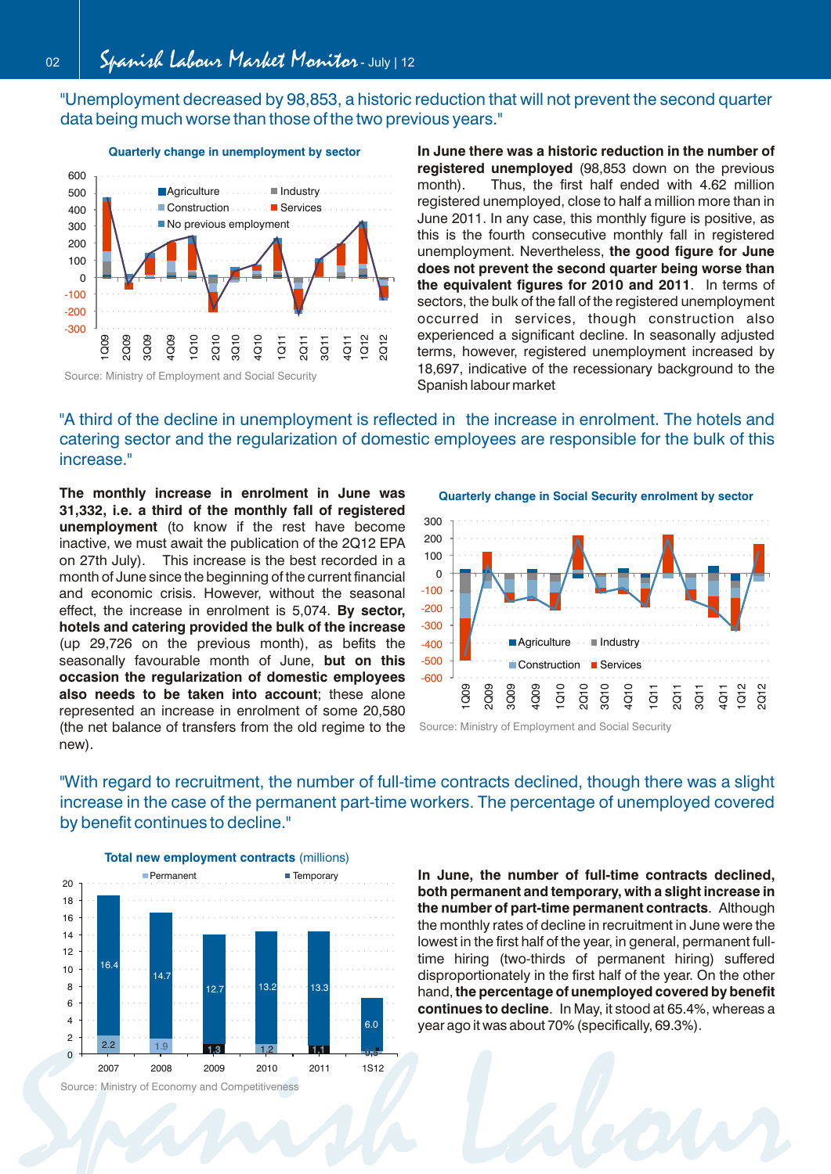"Unemployment decreased by 98,853, a historic reduction that will not prevent the second quarter data being much worse than those of the two previous years."



**Quarterly change in unemployment by sector**

**In June there was a historic reduction in the number of registered unemployed** (98,853 down on the previous month). Thus, the first half ended with 4.62 million registered unemployed, close to half a million more than in June 2011. In any case, this monthly figure is positive, as this is the fourth consecutive monthly fall in registered unemployment. Nevertheless, **the good figure for June does not prevent the second quarter being worse than the equivalent figures for 2010 and 2011**. In terms of sectors, the bulk of the fall of the registered unemployment occurred in services, though construction also experienced a significant decline. In seasonally adjusted terms, however, registered unemployment increased by 18,697, indicative of the recessionary background to the Spanish labour market

### "A third of the decline in unemployment is reflected in the increase in enrolment. The hotels and catering sector and the regularization of domestic employees are responsible for the bulk of this increase."

**The monthly increase in enrolment in June was 31,332, i.e. a third of the monthly fall of registered unemployment** (to know if the rest have become inactive, we must await the publication of the 2Q12 EPA on 27th July). This increase is the best recorded in a month of June since the beginning of the current financial and economic crisis. However, without the seasonal effect, the increase in enrolment is 5,074. **By sector, hotels and catering provided the bulk of the increase** (up 29,726 on the previous month), as befits the seasonally favourable month of June, **but on this occasion the regularization of domestic employees also needs to be taken into account**; these alone represented an increase in enrolment of some 20,580 (the net balance of transfers from the old regime to the new).

**Quarterly change in Social Security enrolment by sector**



Source: Ministry of Employment and Social Security

"With regard to recruitment, the number of full-time contracts declined, though there was a slight increase in the case of the permanent part-time workers. The percentage of unemployed covered by benefit continues to decline."



Source: Ministry of Economy and Competitiveness

**In June, the number of full-time contracts declined, both permanent and temporary, with a slight increase in the number of part-time permanent contracts**. Although the monthly rates of decline in recruitment in June were the lowest in the first half of the year, in general, permanent fulltime hiring (two-thirds of permanent hiring) suffered disproportionately in the first half of the year. On the other hand, **the percentage of unemployed covered by benefit continues to decline**. In May, it stood at 65.4%, whereas a year ago it was about 70% (specifically, 69.3%).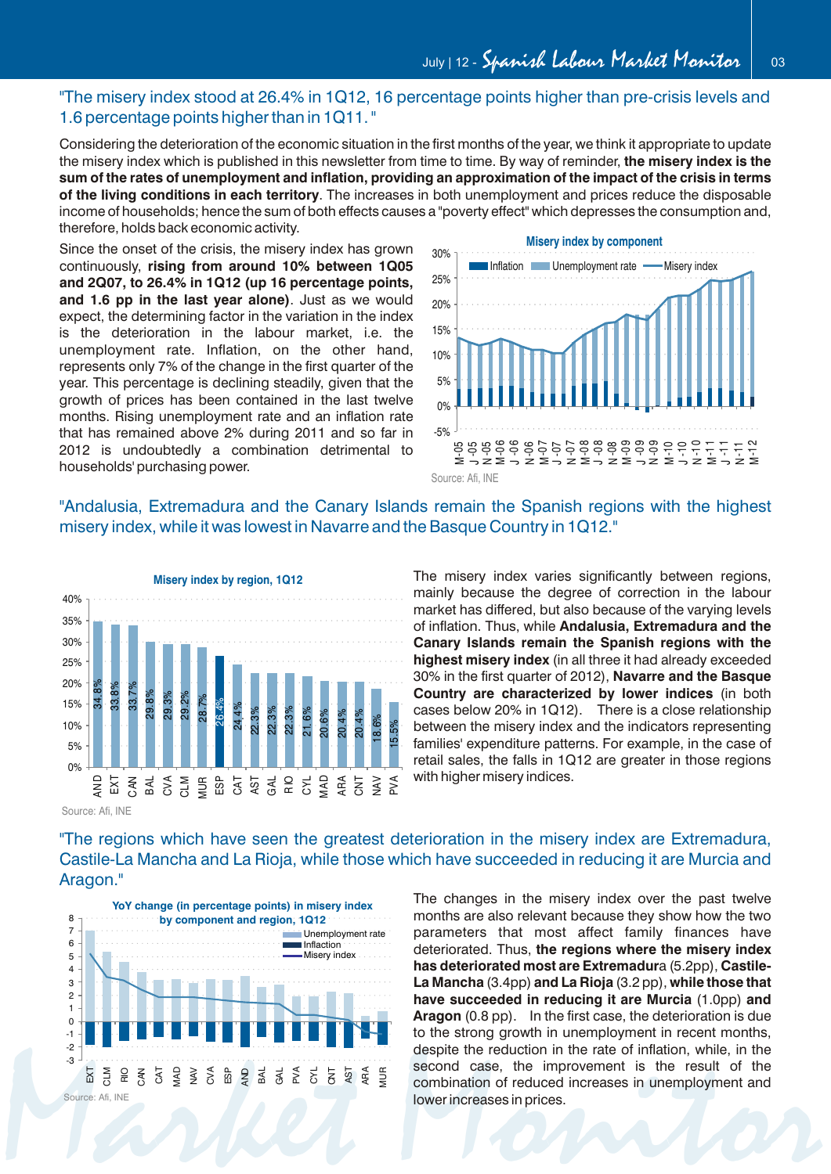#### "The misery index stood at 26.4% in 1Q12, 16 percentage points higher than pre-crisis levels and 1.6 percentage points higher than in 1Q11. "

Considering the deterioration of the economic situation in the first months of the year, we think it appropriate to update the misery index which is published in this newsletter from time to time. By way of reminder, **the misery index is the sum of the rates of unemployment and inflation, providing an approximation of the impact of the crisis in terms of the living conditions in each territory**. The increases in both unemployment and prices reduce the disposable income of households; hence the sum of both effects causes a "poverty effect" which depresses the consumption and, therefore, holds back economic activity.

Since the onset of the crisis, the misery index has grown continuously, **rising from around 10% between 1Q05 and 2Q07, to 26.4% in 1Q12 (up 16 percentage points, and 1.6 pp in the last year alone)**. Just as we would expect, the determining factor in the variation in the index is the deterioration in the labour market, i.e. the unemployment rate. Inflation, on the other hand, represents only 7% of the change in the first quarter of the year. This percentage is declining steadily, given that the growth of prices has been contained in the last twelve months. Rising unemployment rate and an inflation rate that has remained above 2% during 2011 and so far in 2012 is undoubtedly a combination detrimental to households' purchasing power.



#### "Andalusia, Extremadura and the Canary Islands remain the Spanish regions with the highest misery index, while it was lowest in Navarre and the Basque Country in 1Q12."



mainly because the degree of correction in the labour market has differed, but also because of the varying levels of inflation. Thus, while **Andalusia, Extremadura and the Canary Islands remain the Spanish regions with the highest misery index** (in all three it had already exceeded 30% in the first quarter of 2012), **Navarre and the Basque Country are characterized by lower indices** (in both cases below 20% in 1Q12). There is a close relationship between the misery index and the indicators representing families' expenditure patterns. For example, in the case of retail sales, the falls in 1Q12 are greater in those regions with higher misery indices.

The misery index varies significantly between regions,

Source: Afi, INE

"The regions which have seen the greatest deterioration in the misery index are Extremadura, Castile-La Mancha and La Rioja, while those which have succeeded in reducing it are Murcia and Aragon."



The changes in the misery index over the past twelve months are also relevant because they show how the two parameters that most affect family finances have deteriorated. Thus, **the regions where the misery index has deteriorated most are Extremadur**a (5.2pp), **Castile-La Mancha** (3.4pp) **and La Rioja** (3.2 pp), **while those that have succeeded in reducing it are Murcia** (1.0pp) **and Aragon** (0.8 pp). In the first case, the deterioration is due to the strong growth in unemployment in recent months, despite the reduction in the rate of inflation, while, in the second case, the improvement is the result of the combination of reduced increases in unemployment and lower increases in prices.